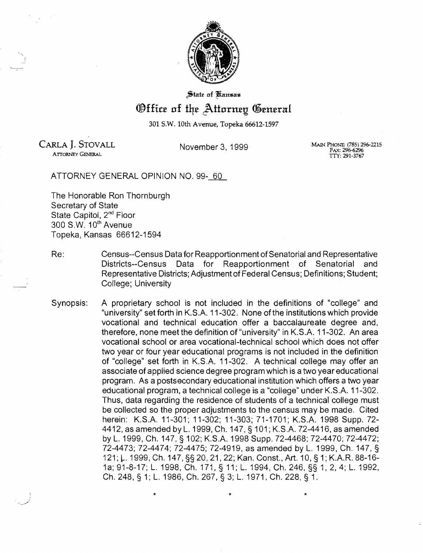

State of Kansas

## *®ffice of the Attorney General*

301 S.W. 10th Avenue, Topeka 66612-1597

CARLA J. STOVALL MAlN PHONE; (785) 296-2215 November 3, 1999 FAX: 296-6296

ArroRNEY GENERAL TTY: 291-3767

ATTORNEY GENERAL OPINION NO. 99-~

The Honorable Ron Thornburgh Secretary of State State Capitol, 2<sup>nd</sup> Floor 300 S.W. 10<sup>th</sup> Avenue Topeka, Kansas 66612-1594

- Re: Census--Census Data for Reapportionment of Senatorial and Representative Districts--Census Data for Reapportionment of Senatorial and Representative Districts; Adjustment of Federal Census; Definitions; Student; College; University
- Synopsis: A proprietary school is not included in the definitions of "college" and "university" set forth in K.S.A. 11-302. None of the institutions which provide vocational and technical education offer a baccalaureate degree and, therefore, none meet the definition of "university" in K.S.A. 11-302. An area vocational school or area vocational-technical school which does not offer two year or four year educational programs is not included in the definition of "college" set forth in K.S.A. 11-302. A technical college may offer an associate of applied science degree program which is a two year educational program. As a postsecondary educational institution which offers a two year educational program, a technical college is a "college" under K.S.A. 11-302. Thus, data regarding the residence of students of a technical college must be collected so the proper adjustments to the census may be made. Cited herein: K.S.A. 11-301; 11-302; 11-303; 71-1701; K.S.A. 1998 Supp. 72 4412, as amended by L.1999, Ch. 147, § 101; K.S.A. 72-4416, as amended by L. 1999, Ch. 147, § 102; K.S.A. 1998 Supp. 72-4468; 72-4470; 72-4472; 72-4473; 72-4474; 72-4475; 72-4919, as amended by L. 1999, Ch. 147, § 121; L. 1999, Ch. 147, §§ 20, 21, 22; Kan. Const., Art. 10, § 1; K.A.R. 88-16-1a; 91-8-17; L. 1998, Ch. 171, § 11; L. 1994, Ch. 246, §§ 1,2,4; L. 1992, Ch. 248, § 1; L. 1986, Ch. 267, § 3; L. 1971, Ch. 228, § 1.

 $\star$   $\star$   $\star$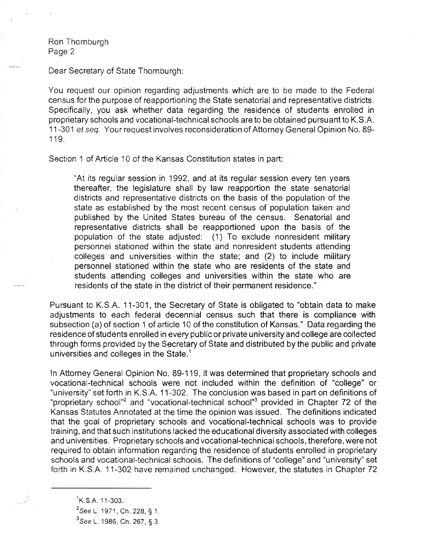Dear Secretary of State Thornburgh:

You request our opinion regarding adjustments which are to be made to the Federal census for the purpose of reapportioning the State senatorial and representative districts. Specifically, you ask whether data regarding the residence of students enrolled in proprietary schools and vocational-technical schools are to be obtained pursuant to K.S.A. 11-301 et seq. Your request involves reconsideration of Attorney General Opinion No. 89 119.

Section 1 of Article 10 of the Kansas Constitution states in part:

"At its regular session in 1992, and at its regular session every ten years thereafter, the legislature shall by law reapportion the state senatorial districts and representative districts on the basis of the population of the state as established by the most recent census of population taken and published by the United States bureau of the census. Senatorial and representative districts shall be reapportioned upon the basis of the population of the state adjusted: (1) To exclude nonresident military personnel stationed within the state and nonresident students attending colleges and universities within the state; and (2) to include military personnel stationed within the state who are residents of the state and students attending colleges and universities within the state who are residents of the state in the district of their permanent residence."

Pursuant to K.S.A. 11-301, the Secretary of State is obligated to "obtain data to make adjustments to each federal decennial census such that there is compliance with subsection (a) of section 1 of article 10 of the constitution of Kansas." Data regarding the residence of students enrolled in every public or private university and college are collected through forms provided by the Secretary of State and distributed by the public and private universities and colleges in the State.<sup>1</sup>

In Attorney General Opinion No. 89-119, it was determined that proprietary schools and vocational-technical schools were not included within the definition of "college" or "university" set forth in K.S.A. 11-302. The conclusion was based in part on definitions of "proprietary school"<sup>2</sup> and "vocational-technical school"<sup>3</sup> provided in Chapter 72 of the Kansas Statutes Annotated at the time the opinion was issued. The definitions indicated that the goal of proprietary schools and vocational-technical schools was to provide training, and that such institutions lacked the educational diversity associated with colleges and universities. Proprietary schools and vocational-technical schools, therefore, were not required to obtain information regarding the residence of students enrolled in proprietary schools and vocational-technical schools. The definitions of "college" and "university" set forth in K.S.A. 11-302 have remained unchanged. However, the statutes in Chapter 72

 $K.S.A.$  11-303.

<sup>&</sup>lt;sup>2</sup>See L. 1971, Ch. 228, § 1.

<sup>&</sup>lt;sup>3</sup>See L. 1986, Ch. 267, § 3.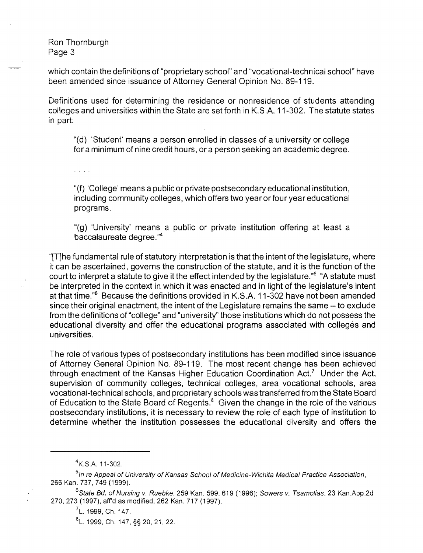which contain the definitions of "proprietary school" and "vocational-technical school" have been amended since issuance of Attorney General Opinion No. 89-119.

Definitions used for determining the residence or nonresidence of students attending colleges and universities within the State are set forth in K.S.A. 11-302. The statute states in part:

"(d) 'Student' means a person enrolled in classes of a university or college for a minimum of nine credit hours, or a person seeking an academic degree.

 $\overline{1}$   $\overline{1}$   $\overline{1}$   $\overline{1}$   $\overline{1}$ 

"(f) 'College' means a public or private postsecondary educational institution, including community colleges, which offers two year or four year educational programs.

"(g) 'University' means a public or private institution offering at least a baccalaureate degree. $44$ 

" $T$ ]he fundamental rule of statutory interpretation is that the intent of the legislature, where it can be ascertained, governs the construction of the statute, and it is the function of the court to interpret a statute to give it the effect intended by the legislature."<sup>5</sup> "A statute must be interpreted in the context in which it was enacted and in light of the legislature's intent at that time."6 Because the definitions provided in K.S.A. 11-302 have not been amended since their original enactment, the intent of the Legislature remains the same - to exclude from the definitions of "college" and "university" those institutions which do not possess the educational diversity and offer the educational programs associated with colleges and universities.

The role of various types of postsecondary institutions has been modified since issuance of Attorney General Opinion No. 89-119. The most recent change has been achieved through enactment of the Kansas Higher Education Coordination Act.<sup>7</sup> Under the Act, supervision of community colleges, technical colleges, area vocational schools, area vocational-technical schools, and proprietary schools was transferred from the State Board of Education to the State Board of Regents.<sup>8</sup> Given the change in the role of the various postsecondary institutions, it is necessary to review the role of each type of institution to determine whether the institution possesses the educational diversity and offers the

<sup>4</sup>K.S.A.11-302.

<sup>&</sup>lt;sup>5</sup>In re Appeal of University of Kansas School of Medicine-Wichita Medical Practice Association, 266 Kan. 737, 749 (1999).

<sup>&</sup>lt;sup>6</sup>State Bd. of Nursing v. Ruebke, 259 Kan. 599, 619 (1996); Sowers v. Tsamolias, 23 Kan.App.2d 270,273 (1997), affd as modified, 262 Kan. 717 (1997).

<sup>&</sup>lt;sup>7</sup>L. 1999, Ch. 147.

<sup>8</sup> l. 1999. Ch. 147, §§ 20,21,22.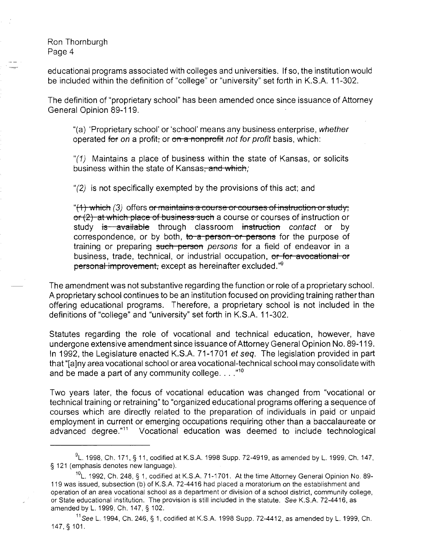educational programs associated with colleges and universities. If so, the institution would be included within the definition of "college" or "university" set forth in K.S.A. 11-302.

The definition of "proprietary school" has been amended once since issuance of Attorney General Opinion 89-119.

"(a) 'Proprietary school' or 'school' means any business enterprise, whether operated for on a profit, or on a nonprofit not for profit basis, which:

"(1) Maintains a place of business within the state of Kansas, or solicits business within the state of Kansas<del>, and which</del>;

"(2) is not specifically exempted by the provisions of this act; and

"(1) which (3) offers or maintains a course or courses of instruction or study; or (2) at which place of business such a course or courses of instruction or study is available through classroom instruction contact or by correspondence, or by both, to a person or persons for the purpose of training or preparing such person persons for a field of endeavor in a business, trade, technical, or industrial occupation, or for avocational or personal improvement, except as hereinafter excluded."<sup>9</sup>

The amendment was not substantive regarding the function or role of a proprietary school. A proprietary school continues to be an institution focused on providing training ratherthan offering educational programs. Therefore, a proprietary school is not included in the definitions of "college" and "university" set forth in K.S.A. 11-302.

Statutes regarding the role of vocational and technical education, however, have undergone extensive amendment since issuance of Attorney General Opinion No. 89-119. In 1992, the Legislature enacted K.S.A. 71-1701 et seq. The legislation provided in part that "[a]ny area vocational school or area vocational-technical school may consolidate with and be made a part of any community college.  $\ldots$ ."<sup>10</sup>

Two years later, the focus of vocational education was changed from "vocational or technical training or retraining" to "organized educational programs offering a sequence of courses which are directly related to the preparation of individuals in paid or unpaid employment in current or emerging occupations requiring other than a baccalaureate or advanced degree."11 Vocational education was deemed to include technological

 $^{9}$ L. 1998, Ch. 171, § 11, codified at K.S.A. 1998 Supp. 72-4919, as amended by L. 1999, Ch. 147, § 121 (emphasis denotes new language).

 $10$ L. 1992, Ch. 248, § 1, codified at K.S.A. 71-1701. At the time Attorney General Opinion No. 89-119 was issued, subsection (b) of K.S.A. 72-4416 had placed a moratorium on the establishment and operation of an area vocational school as a department or division of a school district, community college, or State educational institution. The provision is still included in the statute. See K.S.A. 72-4416, as amended by L. 1999, Ch. 147, § 102.

 $11$ See L. 1994, Ch. 246, § 1, codified at K.S.A. 1998 Supp. 72-4412, as amended by L. 1999, Ch. 147, § 101.